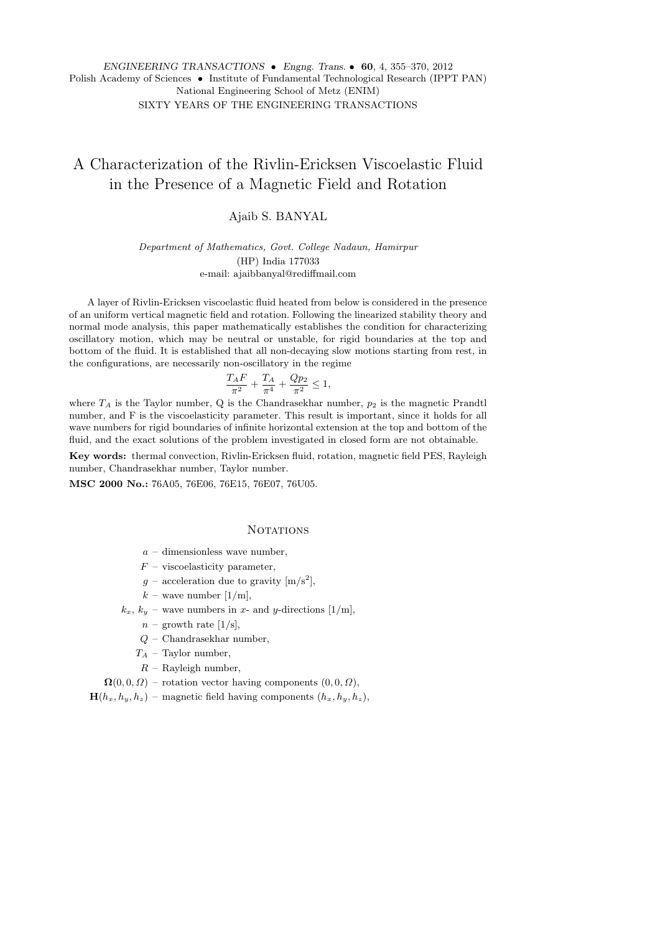# A Characterization of the Rivlin-Ericksen Viscoelastic Fluid in the Presence of a Magnetic Field and Rotation

# Ajaib S. BANYAL

*Department of Mathematics, Govt. College Nadaun, Hamirpur* (HP) India 177033 e-mail: ajaibbanyal@rediffmail.com

A layer of Rivlin-Ericksen viscoelastic fluid heated from below is considered in the presence of an uniform vertical magnetic field and rotation. Following the linearized stability theory and normal mode analysis, this paper mathematically establishes the condition for characterizing oscillatory motion, which may be neutral or unstable, for rigid boundaries at the top and bottom of the fluid. It is established that all non-decaying slow motions starting from rest, in the configurations, are necessarily non-oscillatory in the regime

$$
\frac{T_A F}{\pi^2} + \frac{T_A}{\pi^4} + \frac{Qp_2}{\pi^2} \le 1,
$$

where  $T_A$  is the Taylor number,  $Q$  is the Chandrasekhar number,  $p_2$  is the magnetic Prandtl number, and F is the viscoelasticity parameter. This result is important, since it holds for all wave numbers for rigid boundaries of infinite horizontal extension at the top and bottom of the fluid, and the exact solutions of the problem investigated in closed form are not obtainable.

**Key words:** thermal convection, Rivlin-Ericksen fluid, rotation, magnetic field PES, Rayleigh number, Chandrasekhar number, Taylor number.

**MSC 2000 No.:** 76A05, 76E06, 76E15, 76E07, 76U05.

#### **NOTATIONS**

- *a* dimensionless wave number,
- *F* viscoelasticity parameter,
- $g$  acceleration due to gravity  $[m/s^2]$ ,
- $k$  wave number  $[1/m]$ ,
- $k_x$ ,  $k_y$  wave numbers in *x* and *y*-directions [1/m],
	- $n$  growth rate [1/s],
	- *Q* Chandrasekhar number,
	- *T<sup>A</sup>* Taylor number,
	- *R* Rayleigh number,
- $\Omega(0,0,\Omega)$  rotation vector having components  $(0,0,\Omega)$ ,

 $\mathbf{H}(h_x, h_y, h_z)$  – magnetic field having components  $(h_x, h_y, h_z)$ ,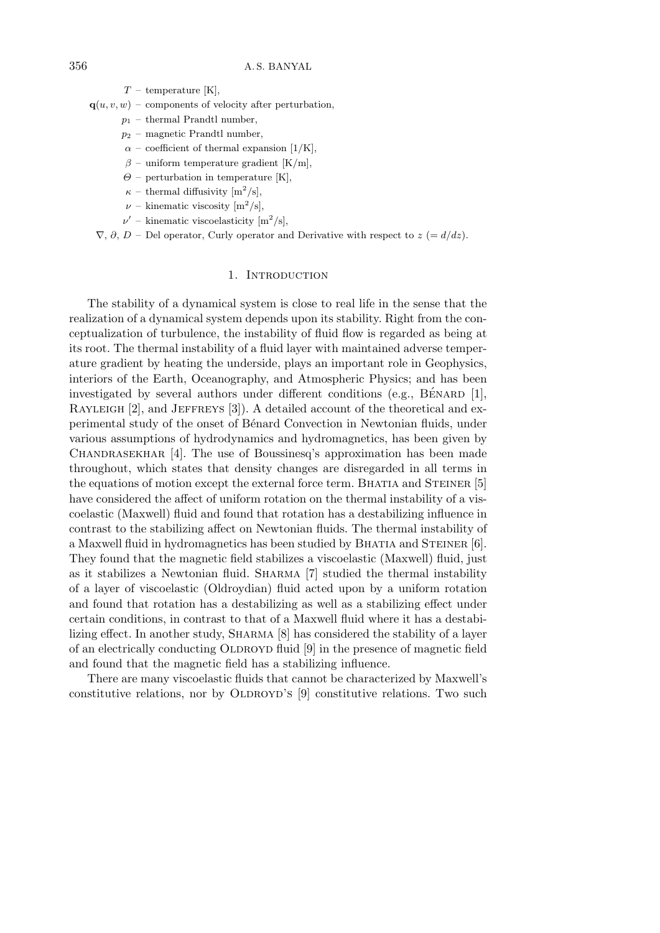*T* – temperature [K],

 $q(u, v, w)$  – components of velocity after perturbation,

- *p*<sup>1</sup> thermal Prandtl number,
- *p*<sup>2</sup> magnetic Prandtl number,
- $\alpha$  coefficient of thermal expansion [1/K],
- $\beta$  uniform temperature gradient [K/m],
- $\Theta$  perturbation in temperature [K],
- $\kappa$  thermal diffusivity  $\left[\text{m}^2/\text{s}\right],$
- $\nu$  kinematic viscosity  $[m^2/s],$
- $\nu'$  kinematic viscoelasticity  $\left[\text{m}^2/\text{s}\right],$

 $\nabla$ ,  $\partial$ ,  $D$  – Del operator, Curly operator and Derivative with respect to  $z = d/dz$ .

#### 1. INTRODUCTION

The stability of a dynamical system is close to real life in the sense that the realization of a dynamical system depends upon its stability. Right from the conceptualization of turbulence, the instability of fluid flow is regarded as being at its root. The thermal instability of a fluid layer with maintained adverse temperature gradient by heating the underside, plays an important role in Geophysics, interiors of the Earth, Oceanography, and Atmospheric Physics; and has been investigated by several authors under different conditions (e.g.,  $\vec{B}$ ENARD [1], RAYLEIGH [2], and JEFFREYS [3]). A detailed account of the theoretical and experimental study of the onset of B´enard Convection in Newtonian fluids, under various assumptions of hydrodynamics and hydromagnetics, has been given by CHANDRASEKHAR [4]. The use of Boussinesq's approximation has been made throughout, which states that density changes are disregarded in all terms in the equations of motion except the external force term. BHATIA and STEINER [5] have considered the affect of uniform rotation on the thermal instability of a viscoelastic (Maxwell) fluid and found that rotation has a destabilizing influence in contrast to the stabilizing affect on Newtonian fluids. The thermal instability of a Maxwell fluid in hydromagnetics has been studied by BHATIA and STEINER [6]. They found that the magnetic field stabilizes a viscoelastic (Maxwell) fluid, just as it stabilizes a Newtonian fluid. Sharma [7] studied the thermal instability of a layer of viscoelastic (Oldroydian) fluid acted upon by a uniform rotation and found that rotation has a destabilizing as well as a stabilizing effect under certain conditions, in contrast to that of a Maxwell fluid where it has a destabilizing effect. In another study, Sharma [8] has considered the stability of a layer of an electrically conducting OLDROYD fluid [9] in the presence of magnetic field and found that the magnetic field has a stabilizing influence.

There are many viscoelastic fluids that cannot be characterized by Maxwell's constitutive relations, nor by OLDROYD's  $[9]$  constitutive relations. Two such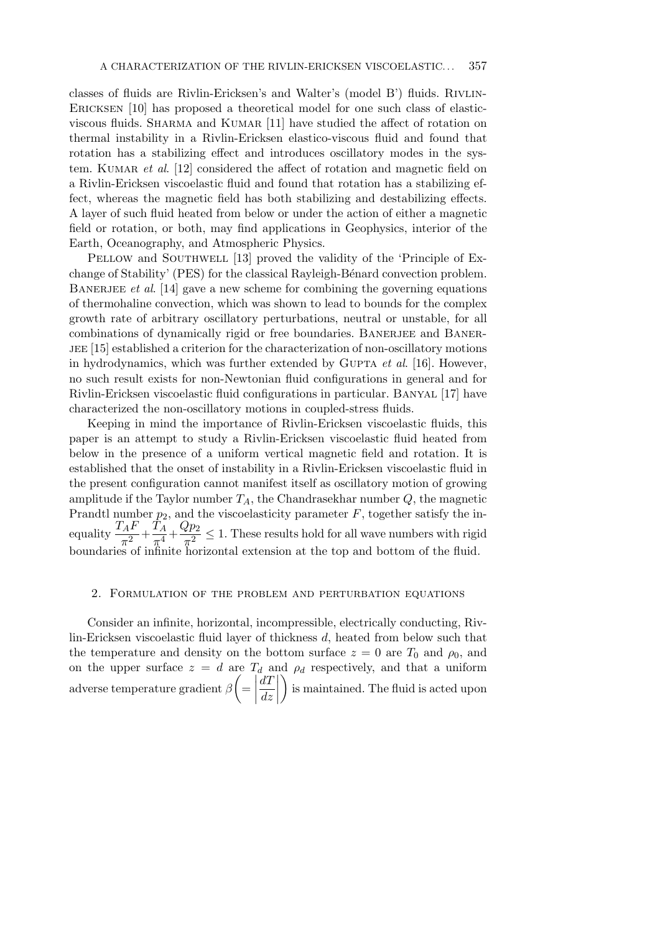classes of fluids are Rivlin-Ericksen's and Walter's (model B') fluids. Rivlin-ERICKSEN [10] has proposed a theoretical model for one such class of elasticviscous fluids. Sharma and Kumar [11] have studied the affect of rotation on thermal instability in a Rivlin-Ericksen elastico-viscous fluid and found that rotation has a stabilizing effect and introduces oscillatory modes in the system. KUMAR *et al.* [12] considered the affect of rotation and magnetic field on a Rivlin-Ericksen viscoelastic fluid and found that rotation has a stabilizing effect, whereas the magnetic field has both stabilizing and destabilizing effects. A layer of such fluid heated from below or under the action of either a magnetic field or rotation, or both, may find applications in Geophysics, interior of the Earth, Oceanography, and Atmospheric Physics.

PELLOW and SOUTHWELL [13] proved the validity of the 'Principle of Exchange of Stability' (PES) for the classical Rayleigh-Bénard convection problem. Banerjee *et al*. [14] gave a new scheme for combining the governing equations of thermohaline convection, which was shown to lead to bounds for the complex growth rate of arbitrary oscillatory perturbations, neutral or unstable, for all combinations of dynamically rigid or free boundaries. BANERJEE and BANERjee [15] established a criterion for the characterization of non-oscillatory motions in hydrodynamics, which was further extended by GUPTA *et al.* [16]. However, no such result exists for non-Newtonian fluid configurations in general and for Rivlin-Ericksen viscoelastic fluid configurations in particular. Banyal [17] have characterized the non-oscillatory motions in coupled-stress fluids.

Keeping in mind the importance of Rivlin-Ericksen viscoelastic fluids, this paper is an attempt to study a Rivlin-Ericksen viscoelastic fluid heated from below in the presence of a uniform vertical magnetic field and rotation. It is established that the onset of instability in a Rivlin-Ericksen viscoelastic fluid in the present configuration cannot manifest itself as oscillatory motion of growing amplitude if the Taylor number  $T_A$ , the Chandrasekhar number  $Q$ , the magnetic Prandtl number *p*2, and the viscoelasticity parameter *F*, together satisfy the inequality  $\frac{T_A F}{\pi^2} + \frac{T_A}{\pi^4}$  $\frac{T_A}{\pi^4} + \frac{Qp_2}{\pi^2}$  $\frac{\epsilon P^2}{\pi^2} \leq 1$ . These results hold for all wave numbers with rigid boundaries of infinite horizontal extension at the top and bottom of the fluid.

## 2. Formulation of the problem and perturbation equations

Consider an infinite, horizontal, incompressible, electrically conducting, Rivlin-Ericksen viscoelastic fluid layer of thickness *d*, heated from below such that the temperature and density on the bottom surface  $z = 0$  are  $T_0$  and  $\rho_0$ , and on the upper surface  $z = d$  are  $T_d$  and  $\rho_d$  respectively, and that a uniform adverse temperature gradient *β*  $\sqrt{ }$ =  $\begin{array}{c} \begin{array}{c} \begin{array}{c} \end{array} \\ \begin{array}{c} \end{array} \end{array} \end{array}$ *dT dz*  $\setminus$ is maintained. The fluid is acted upon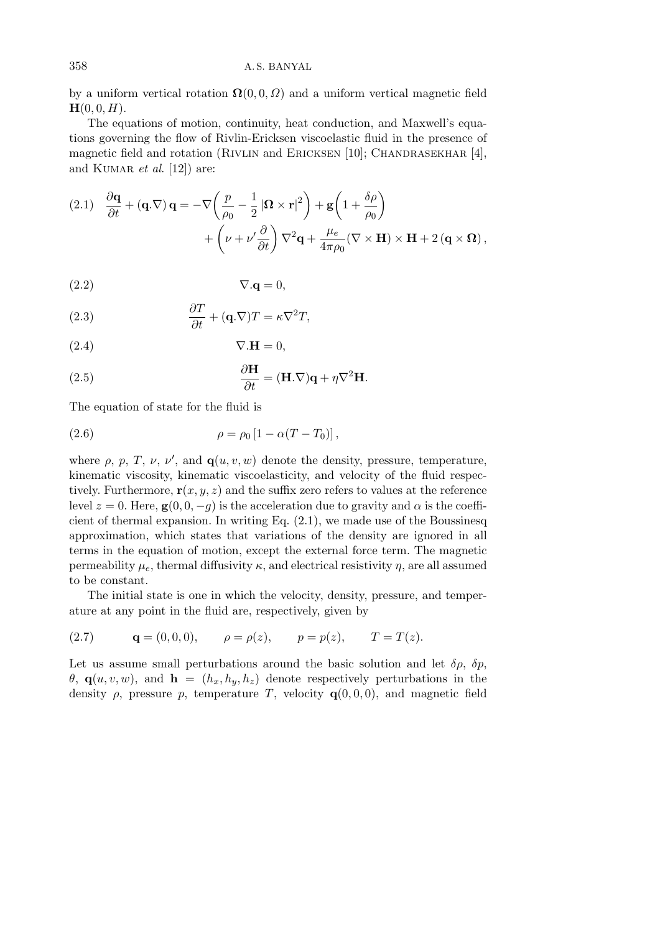by a uniform vertical rotation  $\Omega(0,0,\Omega)$  and a uniform vertical magnetic field  $H(0, 0, H)$ .

The equations of motion, continuity, heat conduction, and Maxwell's equations governing the flow of Rivlin-Ericksen viscoelastic fluid in the presence of magnetic field and rotation (RIVLIN and ERICKSEN [10]; CHANDRASEKHAR [4], and KUMAR *et al.* [12]) are:

(2.1) 
$$
\frac{\partial \mathbf{q}}{\partial t} + (\mathbf{q}.\nabla) \mathbf{q} = -\nabla \left( \frac{p}{\rho_0} - \frac{1}{2} |\mathbf{\Omega} \times \mathbf{r}|^2 \right) + \mathbf{g} \left( 1 + \frac{\delta \rho}{\rho_0} \right) + \left( \nu + \nu' \frac{\partial}{\partial t} \right) \nabla^2 \mathbf{q} + \frac{\mu_e}{4\pi \rho_0} (\nabla \times \mathbf{H}) \times \mathbf{H} + 2 (\mathbf{q} \times \mathbf{\Omega}),
$$

$$
\nabla \mathbf{q} = 0,
$$

(2.3) 
$$
\frac{\partial T}{\partial t} + (\mathbf{q}.\nabla)T = \kappa \nabla^2 T,
$$

$$
\nabla \cdot \mathbf{H} = 0,
$$

(2.5) 
$$
\frac{\partial \mathbf{H}}{\partial t} = (\mathbf{H}.\nabla)\mathbf{q} + \eta \nabla^2 \mathbf{H}.
$$

The equation of state for the fluid is

(2.6) 
$$
\rho = \rho_0 [1 - \alpha (T - T_0)],
$$

where  $\rho$ ,  $p$ ,  $T$ ,  $\nu$ ,  $\nu'$ , and  $\mathbf{q}(u, v, w)$  denote the density, pressure, temperature, kinematic viscosity, kinematic viscoelasticity, and velocity of the fluid respectively. Furthermore,  $\mathbf{r}(x, y, z)$  and the suffix zero refers to values at the reference level  $z = 0$ . Here,  $\mathbf{g}(0, 0, -q)$  is the acceleration due to gravity and  $\alpha$  is the coefficient of thermal expansion. In writing Eq. (2.1), we made use of the Boussinesq approximation, which states that variations of the density are ignored in all terms in the equation of motion, except the external force term. The magnetic permeability  $\mu_e$ , thermal diffusivity  $\kappa$ , and electrical resistivity  $\eta$ , are all assumed to be constant.

The initial state is one in which the velocity, density, pressure, and temperature at any point in the fluid are, respectively, given by

(2.7) 
$$
\mathbf{q} = (0, 0, 0), \quad \rho = \rho(z), \quad p = p(z), \quad T = T(z).
$$

Let us assume small perturbations around the basic solution and let  $\delta \rho$ ,  $\delta p$ ,  $\theta$ , **q**(*u, v, w*), and **h** = ( $h_x$ ,  $h_y$ ,  $h_z$ ) denote respectively perturbations in the density  $\rho$ , pressure  $p$ , temperature  $T$ , velocity  $q(0,0,0)$ , and magnetic field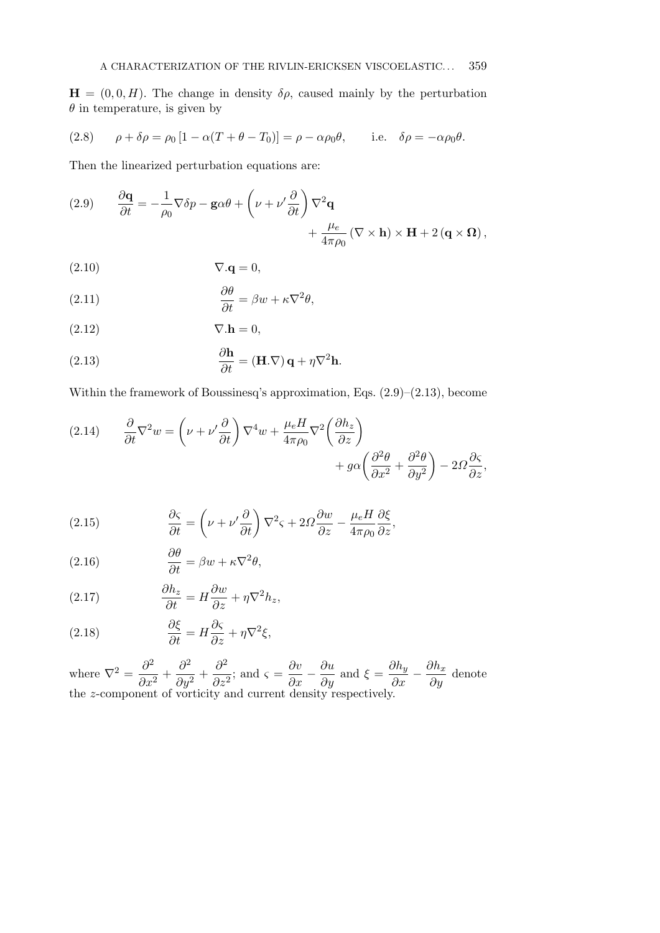$\mathbf{H} = (0, 0, H)$ . The change in density  $\delta \rho$ , caused mainly by the perturbation *θ* in temperature, is given by

(2.8) 
$$
\rho + \delta \rho = \rho_0 \left[ 1 - \alpha (T + \theta - T_0) \right] = \rho - \alpha \rho_0 \theta, \quad \text{i.e.} \quad \delta \rho = -\alpha \rho_0 \theta.
$$

Then the linearized perturbation equations are:

(2.9) 
$$
\frac{\partial \mathbf{q}}{\partial t} = -\frac{1}{\rho_0} \nabla \delta p - \mathbf{g} \alpha \theta + \left(\nu + \nu' \frac{\partial}{\partial t}\right) \nabla^2 \mathbf{q} + \frac{\mu_e}{4\pi \rho_0} \left(\nabla \times \mathbf{h}\right) \times \mathbf{H} + 2 \left(\mathbf{q} \times \mathbf{\Omega}\right),
$$

$$
\nabla \cdot \mathbf{q} = 0,
$$

(2.11) 
$$
\frac{\partial \theta}{\partial t} = \beta w + \kappa \nabla^2 \theta,
$$

 $(2.12)$   $\nabla \cdot \mathbf{h} = 0,$ 

(2.13) 
$$
\frac{\partial \mathbf{h}}{\partial t} = (\mathbf{H}.\nabla) \mathbf{q} + \eta \nabla^2 \mathbf{h}.
$$

Within the framework of Boussinesq's approximation, Eqs.  $(2.9)$ – $(2.13)$ , become

(2.14) 
$$
\frac{\partial}{\partial t} \nabla^2 w = \left( \nu + \nu' \frac{\partial}{\partial t} \right) \nabla^4 w + \frac{\mu_e H}{4\pi \rho_0} \nabla^2 \left( \frac{\partial h_z}{\partial z} \right) + g \alpha \left( \frac{\partial^2 \theta}{\partial x^2} + \frac{\partial^2 \theta}{\partial y^2} \right) - 2 \Omega \frac{\partial \varsigma}{\partial z},
$$

(2.15) 
$$
\frac{\partial \varsigma}{\partial t} = \left(\nu + \nu' \frac{\partial}{\partial t}\right) \nabla^2 \varsigma + 2\Omega \frac{\partial w}{\partial z} - \frac{\mu_e H}{4\pi \rho_0} \frac{\partial \xi}{\partial z},
$$

(2.16) 
$$
\frac{\partial \theta}{\partial t} = \beta w + \kappa \nabla^2 \theta,
$$

(2.17) 
$$
\frac{\partial h_z}{\partial t} = H \frac{\partial w}{\partial z} + \eta \nabla^2 h_z,
$$

(2.18) 
$$
\frac{\partial \xi}{\partial t} = H \frac{\partial \varsigma}{\partial z} + \eta \nabla^2 \xi,
$$

where  $\nabla^2 = \frac{\partial^2}{\partial x^2}$  $\frac{\partial^2}{\partial x^2} + \frac{\partial^2}{\partial y^2}$  $rac{\partial^2}{\partial y^2} + \frac{\partial^2}{\partial z^2}$  $\frac{\partial^2}{\partial z^2}$ ; and  $\varsigma = \frac{\partial v}{\partial x}$ *∂x − ∂u*  $\frac{\partial u}{\partial y}$  and  $\xi = \frac{\partial h_y}{\partial x}$ *∂x − ∂h<sup>x</sup>*  $\frac{\partial u}{\partial y}$  denote the *z*-component of vorticity and current density respectively.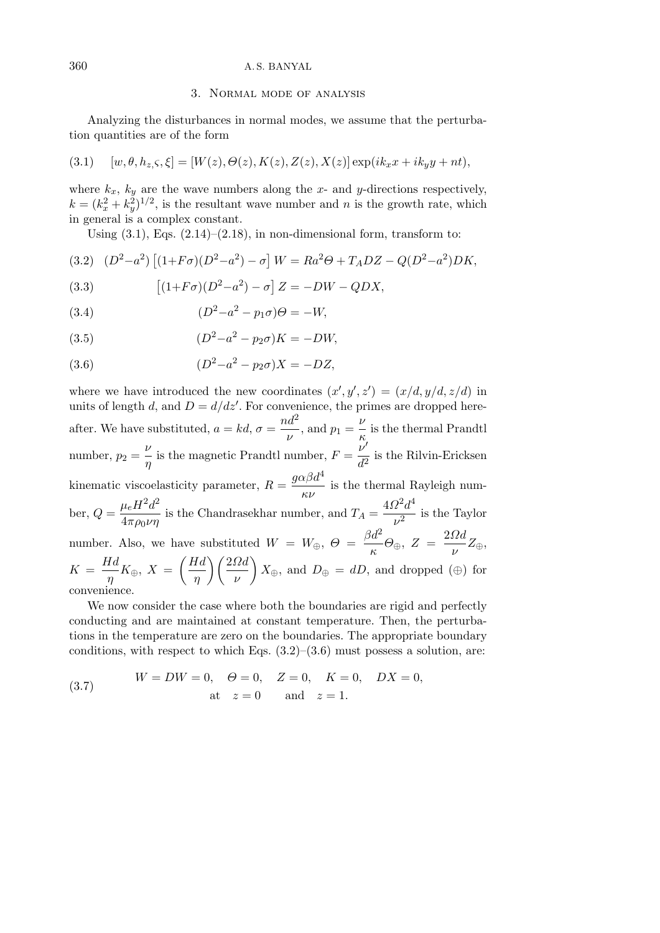## 3. Normal mode of analysis

Analyzing the disturbances in normal modes, we assume that the perturbation quantities are of the form

(3.1) 
$$
[w, \theta, h_{z,\zeta}, \xi] = [W(z), \Theta(z), K(z), Z(z), X(z)] \exp(ik_x x + ik_y y + nt),
$$

where  $k_x$ ,  $k_y$  are the wave numbers along the *x*- and *y*-directions respectively,  $k = (k_x^2 + k_y^2)^{1/2}$ , is the resultant wave number and *n* is the growth rate, which in general is a complex constant.

Using  $(3.1)$ , Eqs.  $(2.14)$ – $(2.18)$ , in non-dimensional form, transform to:

(3.2) 
$$
(D^2 - a^2) [(1 + F\sigma)(D^2 - a^2) - \sigma] W = Ra^2 \Theta + T_A DZ - Q(D^2 - a^2)DK,
$$

(3.3) 
$$
[(1+F\sigma)(D^2-a^2)-\sigma] Z = -DW - QDX,
$$

(3.4) 
$$
(D^2 - a^2 - p_1 \sigma)\Theta = -W,
$$

(3.5) 
$$
(D^2 - a^2 - p_2 \sigma)K = -DW,
$$

(3.6) 
$$
(D^2 - a^2 - p_2 \sigma)X = -DZ,
$$

where we have introduced the new coordinates  $(x', y', z') = (x/d, y/d, z/d)$  in units of length *d*, and  $D = d/dz'$ . For convenience, the primes are dropped hereafter. We have substituted,  $a = kd$ ,  $\sigma = \frac{nd^2}{n}$  $\frac{\nu d^2}{\nu}$ , and  $p_1 = \frac{\nu}{\kappa}$  $\frac{1}{\kappa}$  is the thermal Prandtl number,  $p_2 = \frac{\nu}{\nu}$ *ν*<sub></sub> is the magnetic Prandtl number,  $F = \frac{\nu'}{d^2}$  $\frac{v}{d^2}$  is the Rilvin-Ericksen  $\text{kinematic viscoelasticity parameter, } R = \frac{g\alpha\beta d^4}{2}$  $\frac{f(x)}{f(x)}$  is the thermal Rayleigh number,  $Q = \frac{\mu_e H^2 d^2}{4}$  $\frac{\mu_{e}^{2}}{4\pi\rho_{0}\nu\eta}$  is the Chandrasekhar number, and  $T_{A} =$  $4Ω<sup>2</sup>d<sup>4</sup>$  $\frac{2}{\nu^2}$  is the Taylor number. Also, we have substituted  $W = W_{\oplus}, \Theta =$  $\beta d^2$  $\frac{\partial d^2}{\partial \kappa}$ *Θ*<sub>*⊕*</sub>, *Z* =  $\frac{2\Omega d}{\nu}$ *ν Z⊕*,  $K = \frac{Hd}{H}$  $\frac{d^{2}K}{\eta}K_{\oplus}$ ,  $X =$  $Hd$ *η* 2*Ωd ν*  $\setminus$  $X_{\oplus}$ , and  $D_{\oplus} = dD$ , and dropped ( $\oplus$ ) for convenience.

We now consider the case where both the boundaries are rigid and perfectly conducting and are maintained at constant temperature. Then, the perturbations in the temperature are zero on the boundaries. The appropriate boundary conditions, with respect to which Eqs.  $(3.2)$ – $(3.6)$  must possess a solution, are:

(3.7) 
$$
W = DW = 0, \quad \Theta = 0, \quad Z = 0, \quad K = 0, \quad DX = 0,
$$
  
at  $z = 0$  and  $z = 1$ .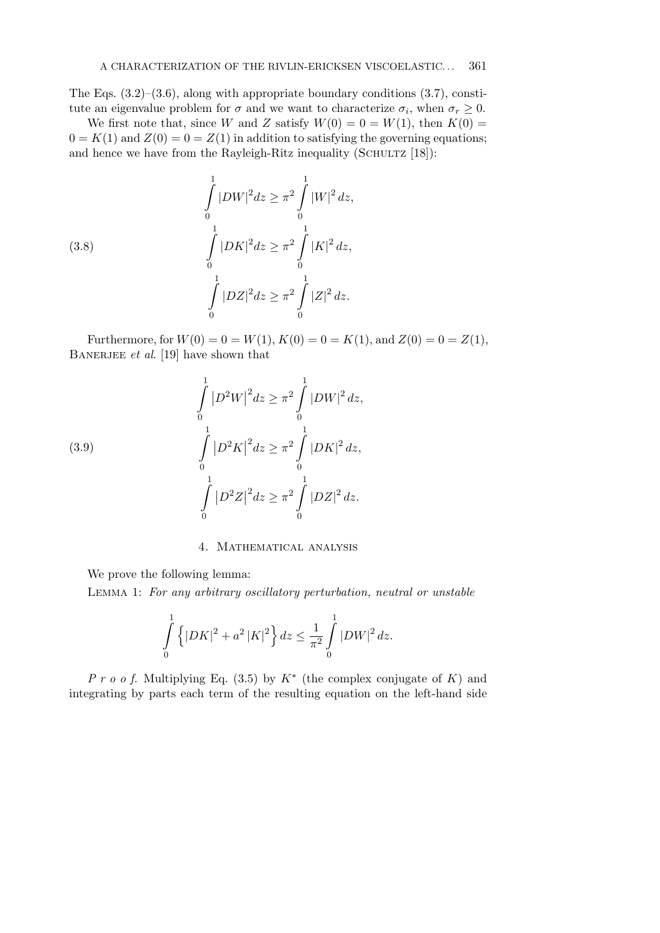The Eqs.  $(3.2)$ – $(3.6)$ , along with appropriate boundary conditions  $(3.7)$ , constitute an eigenvalue problem for  $\sigma$  and we want to characterize  $\sigma_i$ , when  $\sigma_r \geq 0$ .

We first note that, since *W* and *Z* satisfy  $W(0) = 0 = W(1)$ , then  $K(0) =$  $0 = K(1)$  and  $Z(0) = 0 = Z(1)$  in addition to satisfying the governing equations; and hence we have from the Rayleigh-Ritz inequality (SCHULTZ  $[18]$ ):

(3.8) 
$$
\int_{0}^{1} |DW|^2 dz \ge \pi^2 \int_{0}^{1} |W|^2 dz,
$$

$$
\int_{0}^{1} |DK|^2 dz \ge \pi^2 \int_{0}^{1} |K|^2 dz,
$$

$$
\int_{0}^{1} |DZ|^2 dz \ge \pi^2 \int_{0}^{1} |Z|^2 dz.
$$

Furthermore, for  $W(0) = 0 = W(1)$ ,  $K(0) = 0 = K(1)$ , and  $Z(0) = 0 = Z(1)$ , BANERJEE *et al.* [19] have shown that

(3.9)  

$$
\int_{0}^{1} |D^{2}W|^{2} dz \ge \pi^{2} \int_{0}^{1} |DW|^{2} dz,
$$

$$
\int_{0}^{1} |D^{2}K|^{2} dz \ge \pi^{2} \int_{0}^{1} |DK|^{2} dz,
$$

$$
\int_{0}^{1} |D^{2}Z|^{2} dz \ge \pi^{2} \int_{0}^{1} |DZ|^{2} dz.
$$

4. Mathematical analysis

We prove the following lemma:

Lemma 1: *For any arbitrary oscillatory perturbation, neutral or unstable*

$$
\int_{0}^{1} \left\{ |DK|^{2} + a^{2} |K|^{2} \right\} dz \le \frac{1}{\pi^{2}} \int_{0}^{1} |DW|^{2} dz.
$$

*P r o o f.* Multiplying Eq. (3.5) by *K∗* (the complex conjugate of *K*) and integrating by parts each term of the resulting equation on the left-hand side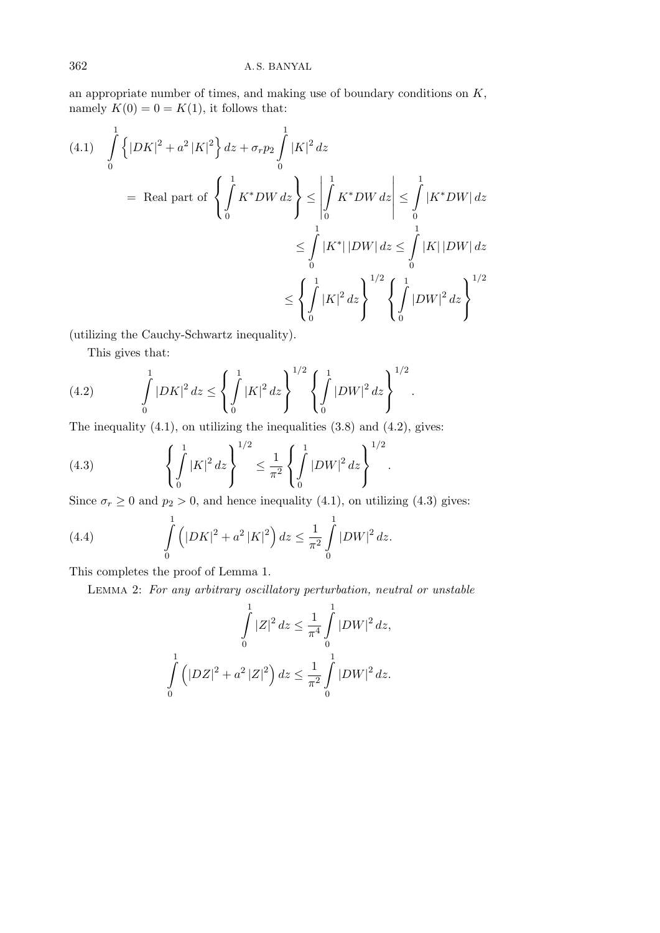an appropriate number of times, and making use of boundary conditions on *K*, namely  $K(0) = 0 = K(1)$ , it follows that:

$$
(4.1) \quad \int_{0}^{1} \left\{ |DK|^{2} + a^{2} |K|^{2} \right\} dz + \sigma_{r} p_{2} \int_{0}^{1} |K|^{2} dz
$$
\n
$$
= \text{ Real part of } \left\{ \int_{0}^{1} K^{*} DW dz \right\} \le \left| \int_{0}^{1} K^{*} DW dz \right| \le \int_{0}^{1} |K^{*} DW dz|
$$
\n
$$
\le \int_{0}^{1} |K^{*}||DW| dz \le \int_{0}^{1} |K| |DW| dz
$$
\n
$$
\le \left\{ \int_{0}^{1} |K|^{2} dz \right\}^{1/2} \left\{ \int_{0}^{1} |DW|^{2} dz \right\}^{1/2}
$$

(utilizing the Cauchy-Schwartz inequality).

This gives that:

(4.2) 
$$
\int_{0}^{1} |DK|^{2} dz \leq \left\{ \int_{0}^{1} |K|^{2} dz \right\}^{1/2} \left\{ \int_{0}^{1} |DW|^{2} dz \right\}^{1/2}.
$$

The inequality  $(4.1)$ , on utilizing the inequalities  $(3.8)$  and  $(4.2)$ , gives:

(4.3) 
$$
\left\{ \int_0^1 |K|^2 dz \right\}^{1/2} \leq \frac{1}{\pi^2} \left\{ \int_0^1 |DW|^2 dz \right\}^{1/2}.
$$

Since  $\sigma_r \geq 0$  and  $p_2 > 0$ , and hence inequality (4.1), on utilizing (4.3) gives:

*.*

(4.4) 
$$
\int_{0}^{1} (|DK|^2 + a^2 |K|^2) dz \le \frac{1}{\pi^2} \int_{0}^{1} |DW|^2 dz.
$$

This completes the proof of Lemma 1.

Lemma 2: *For any arbitrary oscillatory perturbation, neutral or unstable*

$$
\int_{0}^{1} |Z|^2 dz \le \frac{1}{\pi^4} \int_{0}^{1} |DW|^2 dz,
$$
  

$$
\int_{0}^{1} (|DZ|^2 + a^2 |Z|^2) dz \le \frac{1}{\pi^2} \int_{0}^{1} |DW|^2 dz.
$$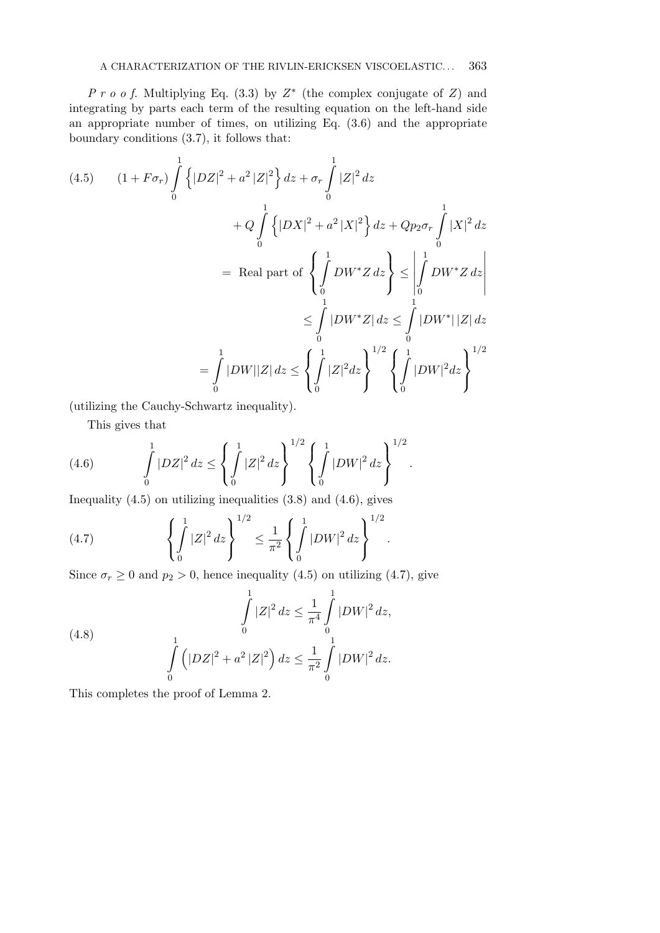*P r o o f.* Multiplying Eq. (3.3) by *Z ∗* (the complex conjugate of *Z*) and integrating by parts each term of the resulting equation on the left-hand side an appropriate number of times, on utilizing Eq. (3.6) and the appropriate boundary conditions (3.7), it follows that:

$$
(4.5) \qquad (1 + F\sigma_r) \int_0^1 \left\{ |DZ|^2 + a^2 |Z|^2 \right\} dz + \sigma_r \int_0^1 |Z|^2 dz
$$
  
+  $Q \int_0^1 \left\{ |DX|^2 + a^2 |X|^2 \right\} dz + Qp_2 \sigma_r \int_0^1 |X|^2 dz$   
= Real part of 
$$
\left\{ \int_0^1 DW^* Z dz \right\} \le \left| \int_0^1 DW^* Z dz \right|
$$
  
 $\le \int_0^1 |DW^* Z| dz \le \int_0^1 |DW^*| |Z| dz$   
= 
$$
\int_0^1 |DW||Z| dz \le \left\{ \int_0^1 |Z|^2 dz \right\}^{1/2} \left\{ \int_0^1 |DW|^2 dz \right\}^{1/2}
$$

*.*

*.*

(utilizing the Cauchy-Schwartz inequality).

This gives that

(4.6) 
$$
\int_{0}^{1} |DZ|^{2} dz \le \left\{ \int_{0}^{1} |Z|^{2} dz \right\}^{1/2} \left\{ \int_{0}^{1} |DW|^{2} dz \right\}^{1/2}
$$

Inequality  $(4.5)$  on utilizing inequalities  $(3.8)$  and  $(4.6)$ , gives

(4.7) 
$$
\left\{ \int_{0}^{1} |Z|^2 dz \right\}^{1/2} \leq \frac{1}{\pi^2} \left\{ \int_{0}^{1} |DW|^2 dz \right\}^{1/2}
$$

Since  $\sigma_r \geq 0$  and  $p_2 > 0$ , hence inequality (4.5) on utilizing (4.7), give

(4.8) 
$$
\int_{0}^{1} |Z|^2 dz \leq \frac{1}{\pi^4} \int_{0}^{1} |DW|^2 dz,
$$

$$
\int_{0}^{1} (|DZ|^2 + a^2 |Z|^2) dz \leq \frac{1}{\pi^2} \int_{0}^{1} |DW|^2 dz.
$$

This completes the proof of Lemma 2.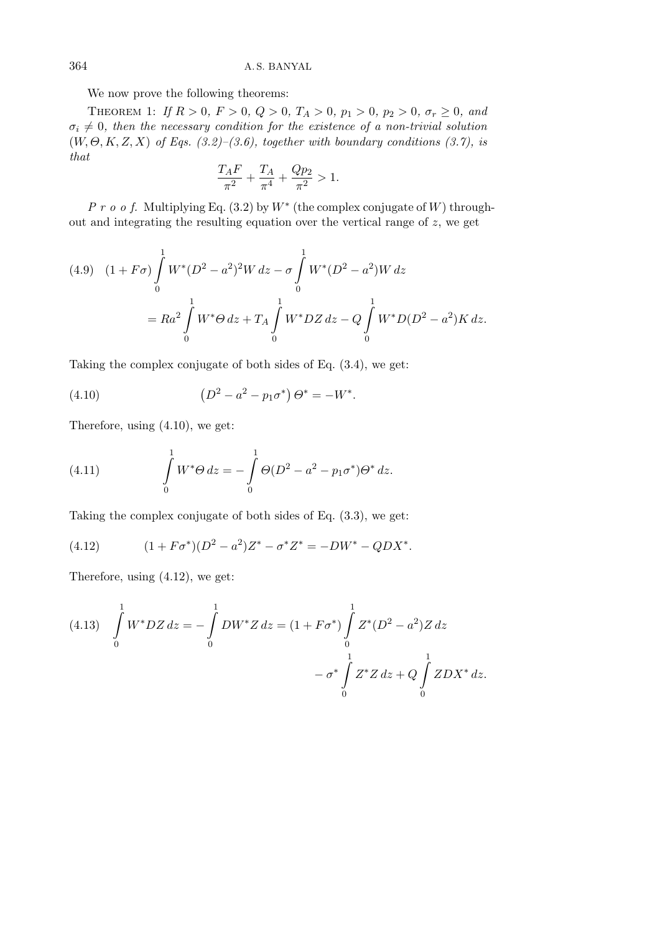We now prove the following theorems:

THEOREM 1: *If*  $R > 0$ ,  $F > 0$ ,  $Q > 0$ ,  $T_A > 0$ ,  $p_1 > 0$ ,  $p_2 > 0$ ,  $\sigma_r \ge 0$ , and  $\sigma_i \neq 0$ , then the necessary condition for the existence of a non-trivial solution (*W, Θ, K, Z, X*) *of Eqs. (3.2)–(3.6), together with boundary conditions (3.7), is that*

$$
\frac{T_A F}{\pi^2} + \frac{T_A}{\pi^4} + \frac{Q p_2}{\pi^2} > 1.
$$

*P r o o f.* Multiplying Eq. (3.2) by *W∗* (the complex conjugate of *W*) throughout and integrating the resulting equation over the vertical range of *z*, we get

$$
(4.9) \quad (1 + F\sigma) \int_{0}^{1} W^*(D^2 - a^2)^2 W \, dz - \sigma \int_{0}^{1} W^*(D^2 - a^2) W \, dz
$$

$$
= Ra^2 \int_{0}^{1} W^* \Theta \, dz + T_A \int_{0}^{1} W^* DZ \, dz - Q \int_{0}^{1} W^* D(D^2 - a^2) K \, dz.
$$

Taking the complex conjugate of both sides of Eq. (3.4), we get:

(4.10) 
$$
(D^2 - a^2 - p_1 \sigma^*) \Theta^* = -W^*.
$$

Therefore, using (4.10), we get:

(4.11) 
$$
\int_{0}^{1} W^* \Theta \, dz = - \int_{0}^{1} \Theta (D^2 - a^2 - p_1 \sigma^*) \Theta^* \, dz.
$$

Taking the complex conjugate of both sides of Eq. (3.3), we get:

(4.12) 
$$
(1 + F\sigma^*)(D^2 - a^2)Z^* - \sigma^* Z^* = -DW^* - QDX^*.
$$

Therefore, using (4.12), we get:

$$
(4.13) \quad \int_{0}^{1} W^* DZ \, dz = -\int_{0}^{1} DW^* Z \, dz = (1 + F\sigma^*) \int_{0}^{1} Z^* (D^2 - a^2) Z \, dz
$$

$$
- \sigma^* \int_{0}^{1} Z^* Z \, dz + Q \int_{0}^{1} Z D X^* \, dz.
$$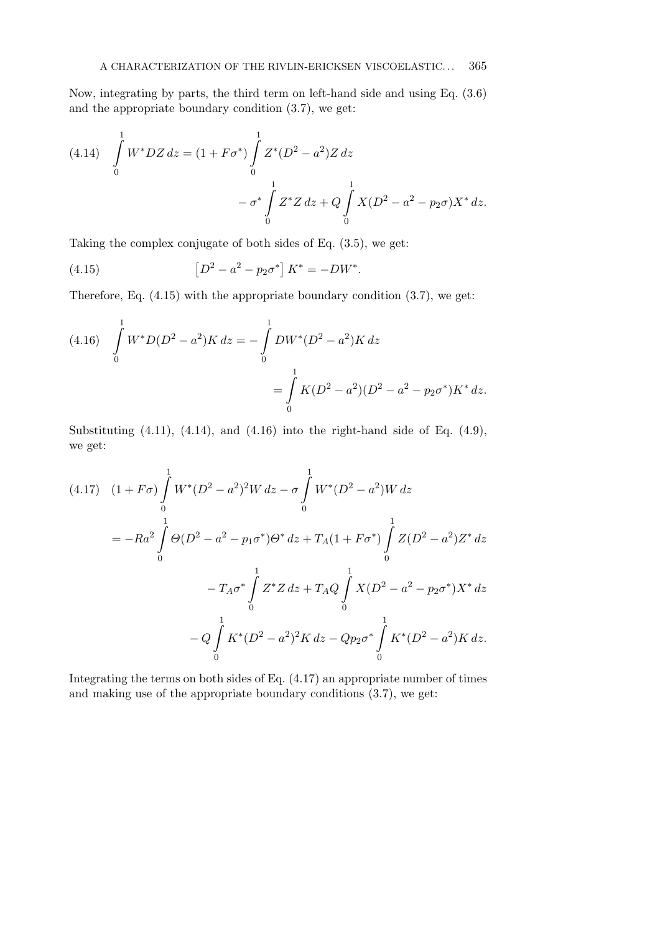Now, integrating by parts, the third term on left-hand side and using Eq. (3.6) and the appropriate boundary condition (3.7), we get:

(4.14) 
$$
\int_{0}^{1} W^* DZ dz = (1 + F\sigma^*) \int_{0}^{1} Z^* (D^2 - a^2) Z dz
$$

$$
- \sigma^* \int_{0}^{1} Z^* Z dz + Q \int_{0}^{1} X (D^2 - a^2 - p_2 \sigma) X^* dz.
$$

Taking the complex conjugate of both sides of Eq. (3.5), we get:

(4.15) 
$$
\left[D^2 - a^2 - p_2 \sigma^*\right] K^* = -DW^*.
$$

Therefore, Eq. (4.15) with the appropriate boundary condition (3.7), we get:

(4.16) 
$$
\int_{0}^{1} W^* D(D^2 - a^2) K dz = - \int_{0}^{1} DW^*(D^2 - a^2) K dz
$$

$$
= \int_{0}^{1} K(D^2 - a^2)(D^2 - a^2 - p_2 \sigma^*) K^* dz.
$$

Substituting  $(4.11)$ ,  $(4.14)$ , and  $(4.16)$  into the right-hand side of Eq.  $(4.9)$ , we get:

$$
(4.17) \quad (1 + F\sigma) \int_{0}^{1} W^{*}(D^{2} - a^{2})^{2}W \, dz - \sigma \int_{0}^{1} W^{*}(D^{2} - a^{2})W \, dz
$$
\n
$$
= -Ra^{2} \int_{0}^{1} \Theta(D^{2} - a^{2} - p_{1}\sigma^{*})\Theta^{*} \, dz + T_{A}(1 + F\sigma^{*}) \int_{0}^{1} Z(D^{2} - a^{2})Z^{*} \, dz
$$
\n
$$
- T_{A}\sigma^{*} \int_{0}^{1} Z^{*}Z \, dz + T_{A}Q \int_{0}^{1} X(D^{2} - a^{2} - p_{2}\sigma^{*})X^{*} \, dz
$$
\n
$$
- Q \int_{0}^{1} K^{*}(D^{2} - a^{2})^{2}K \, dz - Qp_{2}\sigma^{*} \int_{0}^{1} K^{*}(D^{2} - a^{2})K \, dz.
$$

Integrating the terms on both sides of Eq. (4.17) an appropriate number of times and making use of the appropriate boundary conditions (3.7), we get: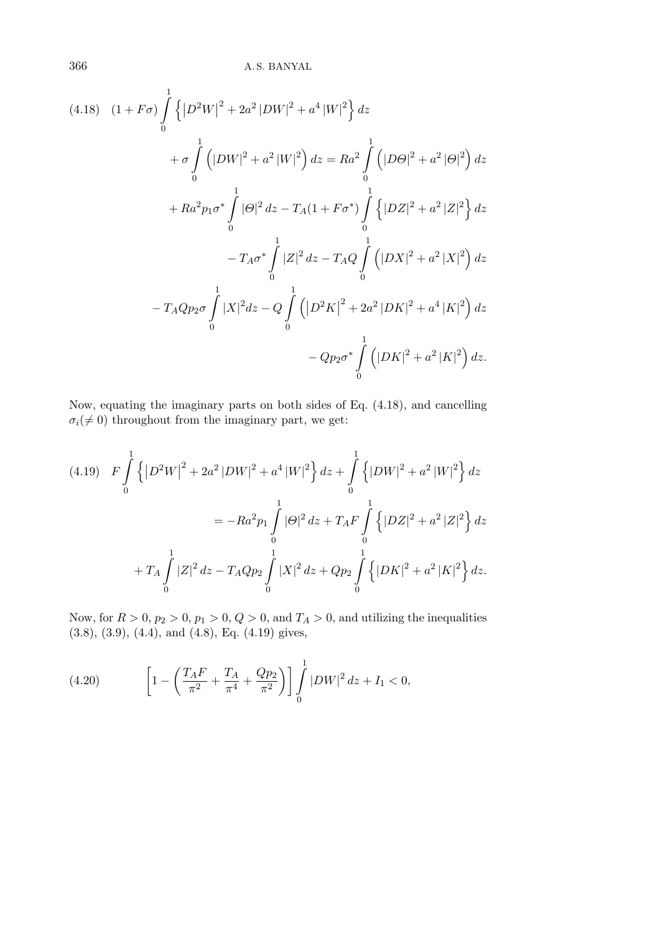$$
(4.18) \quad (1 + F\sigma) \int_{0}^{1} \left\{ |D^{2}W|^{2} + 2a^{2} |DW|^{2} + a^{4} |W|^{2} \right\} dz
$$
  
+  $\sigma \int_{0}^{1} (|DW|^{2} + a^{2} |W|^{2}) dz = Ra^{2} \int_{0}^{1} (|D\Theta|^{2} + a^{2} |\Theta|^{2}) dz$   
+  $Ra^{2}p_{1}\sigma^{*} \int_{0}^{1} |\Theta|^{2} dz - T_{A}(1 + F\sigma^{*}) \int_{0}^{1} \left\{ |DZ|^{2} + a^{2} |Z|^{2} \right\} dz$   
-  $T_{A}\sigma^{*} \int_{0}^{1} |Z|^{2} dz - T_{A}Q \int_{0}^{1} (|DX|^{2} + a^{2} |X|^{2}) dz$   
-  $T_{A}Qp_{2}\sigma \int_{0}^{1} |X|^{2} dz - Q \int_{0}^{1} (|D^{2}K|^{2} + 2a^{2} |DK|^{2} + a^{4} |K|^{2}) dz$   
-  $Qp_{2}\sigma^{*} \int_{0}^{1} (|DK|^{2} + a^{2} |K|^{2}) dz$ .

Now, equating the imaginary parts on both sides of Eq. (4.18), and cancelling  $\sigma_i(\neq 0)$  throughout from the imaginary part, we get:

$$
(4.19) \quad F \int_{0}^{1} \left\{ \left| D^{2}W \right|^{2} + 2a^{2} |DW|^{2} + a^{4} |W|^{2} \right\} dz + \int_{0}^{1} \left\{ |DW|^{2} + a^{2} |W|^{2} \right\} dz
$$

$$
= -Ra^{2}p_{1} \int_{0}^{1} |\Theta|^{2} dz + T_{A}F \int_{0}^{1} \left\{ |DZ|^{2} + a^{2} |Z|^{2} \right\} dz
$$

$$
+ T_{A} \int_{0}^{1} |Z|^{2} dz - T_{A}Qp_{2} \int_{0}^{1} |X|^{2} dz + Qp_{2} \int_{0}^{1} \left\{ |DK|^{2} + a^{2} |K|^{2} \right\} dz.
$$

Now, for  $R > 0$ ,  $p_2 > 0$ ,  $p_1 > 0$ ,  $Q > 0$ , and  $T_A > 0$ , and utilizing the inequalities (3.8), (3.9), (4.4), and (4.8), Eq. (4.19) gives,

(4.20) 
$$
\left[1-\left(\frac{T_{A}F}{\pi^{2}}+\frac{T_{A}}{\pi^{4}}+\frac{Qp_{2}}{\pi^{2}}\right)\right]\int_{0}^{1}|DW|^{2}dz+I_{1}<0,
$$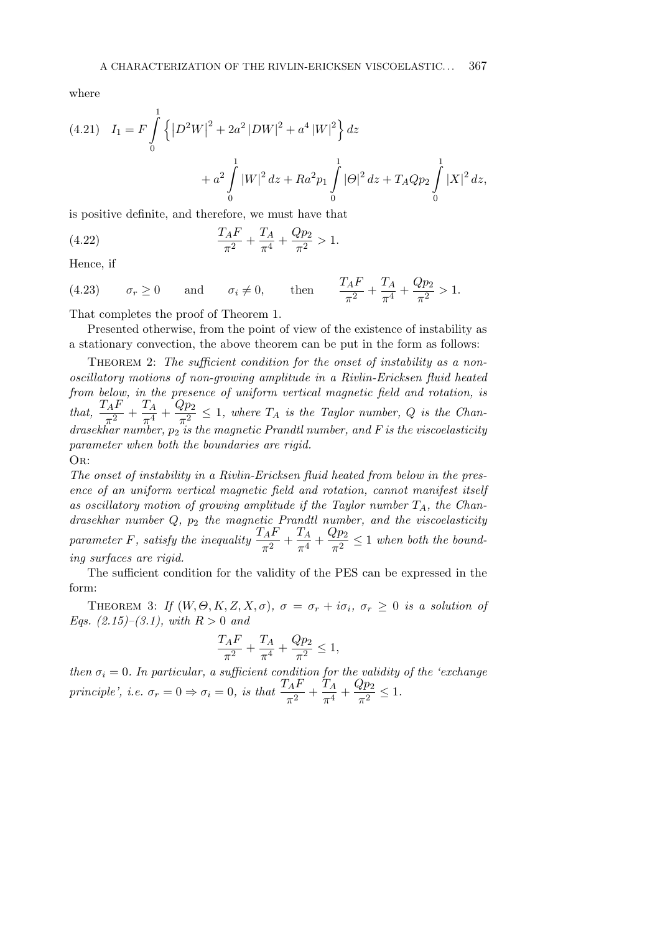where

(4.21) 
$$
I_1 = F \int_0^1 \left\{ |D^2 W|^2 + 2a^2 |DW|^2 + a^4 |W|^2 \right\} dz + a^2 \int_0^1 |W|^2 dz + Ra^2 p_1 \int_0^1 |\Theta|^2 dz + T_A Q p_2 \int_0^1 |X|^2 dz,
$$

is positive definite, and therefore, we must have that

(4.22) 
$$
\frac{T_A F}{\pi^2} + \frac{T_A}{\pi^4} + \frac{Q p_2}{\pi^2} > 1.
$$

Hence, if

(4.23)  $\sigma_r \ge 0$  and  $\sigma_i \ne 0$ , then  $\frac{T_A F}{\pi^2} + \frac{T_A}{\pi^4}$  $rac{T_A}{\pi^4} + \frac{Qp_2}{\pi^2}$  $\frac{\pi^2}{\pi^2} > 1.$ 

That completes the proof of Theorem 1.

Presented otherwise, from the point of view of the existence of instability as a stationary convection, the above theorem can be put in the form as follows:

THEOREM 2: The sufficient condition for the onset of instability as a non*oscillatory motions of non-growing amplitude in a Rivlin-Ericksen fluid heated from below, in the presence of uniform vertical magnetic field and rotation, is*  $\frac{T_A F}{\pi^2} + \frac{T_A}{\pi^4}$  $\frac{T_A}{\pi^4}+\frac{Qp_2}{\pi^2}$  $\frac{d^{2}F^{2}}{\pi^{2}} \leq 1$ , where  $T_{A}$  is the Taylor number, Q is the Chan*drasekhar number,*  $p_2$  *is the magnetic Prandtl number, and F is the viscoelasticity parameter when both the boundaries are rigid.* Or:

*The onset of instability in a Rivlin-Ericksen fluid heated from below in the presence of an uniform vertical magnetic field and rotation, cannot manifest itself as oscillatory motion of growing amplitude if the Taylor number TA, the Chandrasekhar number Q, p*<sup>2</sup> *the magnetic Prandtl number, and the viscoelasticity parameter F, satisfy the inequality*  $\frac{T_A F}{\pi^2} + \frac{T_A}{\pi^4}$  $rac{T_A}{\pi^4} + \frac{Qp_2}{\pi^2}$  $rac{\epsilon P^2}{\pi^2} \leq 1$  *when both the bounding surfaces are rigid.*

The sufficient condition for the validity of the PES can be expressed in the form:

THEOREM 3: *If*  $(W, \Theta, K, Z, X, \sigma)$ ,  $\sigma = \sigma_r + i\sigma_i$ ,  $\sigma_r \geq 0$  *is a solution of Eqs. (2.15)–(3.1), with R >* 0 *and*

$$
\frac{T_A F}{\pi^2} + \frac{T_A}{\pi^4} + \frac{Q p_2}{\pi^2} \le 1,
$$

*then*  $\sigma_i = 0$ *. In particular, a sufficient condition for the validity of the 'exchange' principle', i.e.*  $\sigma_r = 0 \Rightarrow \sigma_i = 0$ *, is that*  $\frac{T_A F}{\pi^2} + \frac{T_A}{\pi^4}$  $rac{T_A}{\pi^4} + \frac{Qp_2}{\pi^2}$  $rac{\epsilon P^2}{\pi^2} \leq 1.$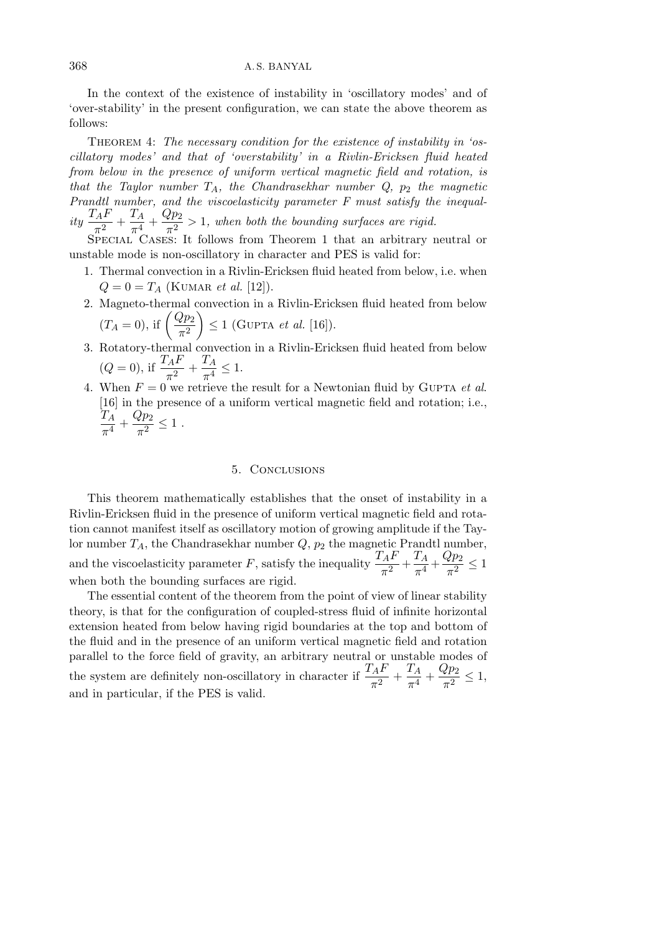In the context of the existence of instability in 'oscillatory modes' and of 'over-stability' in the present configuration, we can state the above theorem as follows:

Theorem 4: *The necessary condition for the existence of instability in 'oscillatory modes' and that of 'overstability' in a Rivlin-Ericksen fluid heated from below in the presence of uniform vertical magnetic field and rotation, is that the Taylor number TA, the Chandrasekhar number Q, p*<sup>2</sup> *the magnetic Prandtl number, and the viscoelasticity parameter F must satisfy the inequal* $ity \frac{T_A F}{2}$  $\frac{T_A F}{\pi^2} + \frac{T_A}{\pi^4}$  $\frac{T_A}{\pi^4} + \frac{Qp_2}{\pi^2}$  $\frac{d^{2}P^{2}}{\pi^{2}} > 1$ , when both the bounding surfaces are rigid.

SPECIAL CASES: It follows from Theorem 1 that an arbitrary neutral or unstable mode is non-oscillatory in character and PES is valid for:

- 1. Thermal convection in a Rivlin-Ericksen fluid heated from below, i.e. when  $Q = 0 = T_A$  (KUMAR *et al.* [12]).
- 2. Magneto-thermal convection in a Rivlin-Ericksen fluid heated from below  $(T_A = 0)$ , if  $\left(\frac{Qp_2}{r^2}\right)$  $\pi^2$  $\Big) \leq 1$  (GUPTA *et al.* [16]).
- 3. Rotatory-thermal convection in a Rivlin-Ericksen fluid heated from below  $(Q = 0)$ , if  $\frac{T_A F}{\pi^2} + \frac{T_A}{\pi^4}$  $\frac{1}{\pi^4} \leq 1.$
- 4. When  $F = 0$  we retrieve the result for a Newtonian fluid by GUPTA *et al.* [16] in the presence of a uniform vertical magnetic field and rotation; i.e., *T<sup>A</sup>*  $rac{T_A}{\pi^4} + \frac{Qp_2}{\pi^2}$  $\frac{\epsilon P^2}{\pi^2} \leq 1$ .

## 5. Conclusions

This theorem mathematically establishes that the onset of instability in a Rivlin-Ericksen fluid in the presence of uniform vertical magnetic field and rotation cannot manifest itself as oscillatory motion of growing amplitude if the Taylor number  $T_A$ , the Chandrasekhar number  $Q$ ,  $p_2$  the magnetic Prandtl number, and the viscoelasticity parameter *F*, satisfy the inequality  $\frac{T_A F}{\pi^2} + \frac{T_A}{\pi^4}$  $rac{T_A}{\pi^4} + \frac{Qp_2}{\pi^2}$  $\frac{\epsilon P_2}{\pi^2} \leq 1$ when both the bounding surfaces are rigid.

The essential content of the theorem from the point of view of linear stability theory, is that for the configuration of coupled-stress fluid of infinite horizontal extension heated from below having rigid boundaries at the top and bottom of the fluid and in the presence of an uniform vertical magnetic field and rotation parallel to the force field of gravity, an arbitrary neutral or unstable modes of the system are definitely non-oscillatory in character if  $\frac{T_A F}{\pi^2} + \frac{T_A}{\pi^4}$  $rac{T_A}{\pi^4} + \frac{Qp_2}{\pi^2}$  $rac{\epsilon P^2}{\pi^2} \leq 1,$ and in particular, if the PES is valid.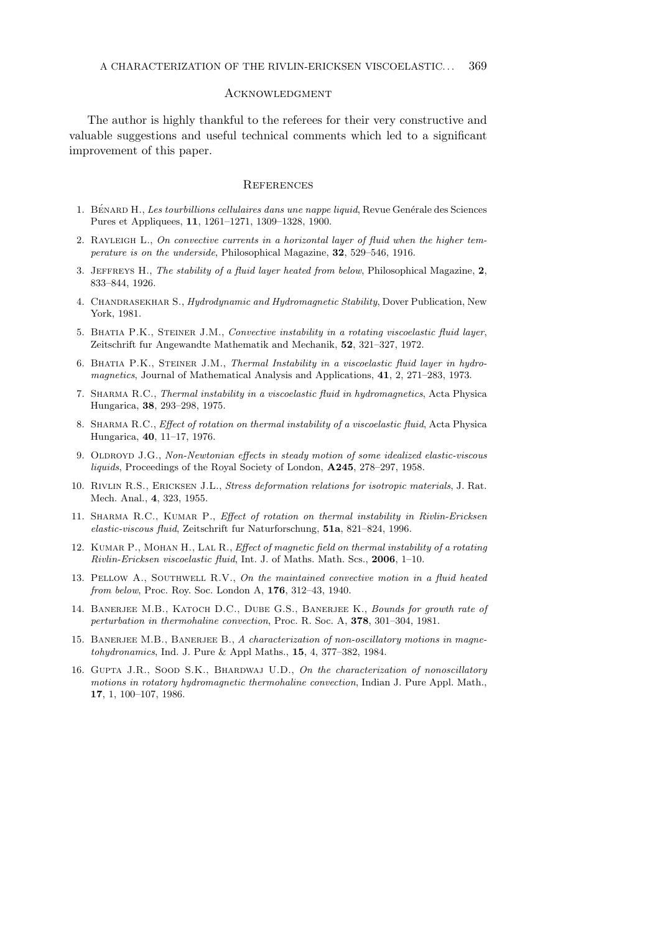## **ACKNOWLEDGMENT**

The author is highly thankful to the referees for their very constructive and valuable suggestions and useful technical comments which led to a significant improvement of this paper.

#### **REFERENCES**

- 1. BÉNARD H., *Les tourbillions cellulaires dans une nappe liquid*, Revue Genérale des Sciences Pures et Appliquees, **11**, 1261–1271, 1309–1328, 1900.
- 2. Rayleigh L., *On convective currents in a horizontal layer of fluid when the higher temperature is on the underside*, Philosophical Magazine, **32**, 529–546, 1916.
- 3. Jeffreys H., *The stability of a fluid layer heated from below*, Philosophical Magazine, **2**, 833–844, 1926.
- 4. Chandrasekhar S., *Hydrodynamic and Hydromagnetic Stability*, Dover Publication, New York, 1981.
- 5. Bhatia P.K., Steiner J.M., *Convective instability in a rotating viscoelastic fluid layer*, Zeitschrift fur Angewandte Mathematik and Mechanik, **52**, 321–327, 1972.
- 6. Bhatia P.K., Steiner J.M., *Thermal Instability in a viscoelastic fluid layer in hydromagnetics*, Journal of Mathematical Analysis and Applications, **41**, 2, 271–283, 1973.
- 7. Sharma R.C., *Thermal instability in a viscoelastic fluid in hydromagnetics*, Acta Physica Hungarica, **38**, 293–298, 1975.
- 8. Sharma R.C., *Effect of rotation on thermal instability of a viscoelastic fluid*, Acta Physica Hungarica, **40**, 11–17, 1976.
- 9. OLDROYD J.G., *Non-Newtonian effects in steady motion of some idealized elastic-viscous liquids*, Proceedings of the Royal Society of London, **A245**, 278–297, 1958.
- 10. Rivlin R.S., Ericksen J.L., *Stress deformation relations for isotropic materials*, J. Rat. Mech. Anal., **4**, 323, 1955.
- 11. Sharma R.C., Kumar P., *Effect of rotation on thermal instability in Rivlin-Ericksen elastic-viscous fluid*, Zeitschrift fur Naturforschung, **51a**, 821–824, 1996.
- 12. Kumar P., Mohan H., Lal R., *Effect of magnetic field on thermal instability of a rotating Rivlin-Ericksen viscoelastic fluid*, Int. J. of Maths. Math. Scs., **2006**, 1–10.
- 13. Pellow A., Southwell R.V., *On the maintained convective motion in a fluid heated from below*, Proc. Roy. Soc. London A, **176**, 312–43, 1940.
- 14. Banerjee M.B., Katoch D.C., Dube G.S., Banerjee K., *Bounds for growth rate of perturbation in thermohaline convection*, Proc. R. Soc. A, **378**, 301–304, 1981.
- 15. BANERJEE M.B., BANERJEE B., A characterization of non-oscillatory motions in magne*tohydronamics*, Ind. J. Pure & Appl Maths., **15**, 4, 377–382, 1984.
- 16. Gupta J.R., Sood S.K., Bhardwaj U.D., *On the characterization of nonoscillatory motions in rotatory hydromagnetic thermohaline convection*, Indian J. Pure Appl. Math., **17**, 1, 100–107, 1986.